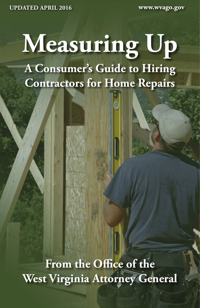**UPDATED APRIL 2016 www.wvago.gov**

# **Measuring Up A Consumer's Guide to Hiring Contractors for Home Repairs**

**From the Office of the West Virginia Attorney General**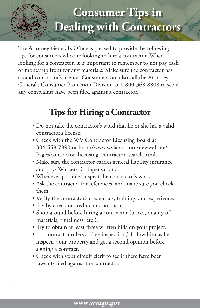

The Attorney General's Office is pleased to provide the following tips for consumers who are looking to hire a contractor. When looking for a contractor, it is important to remember to not pay cash or money up front for any materials. Make sure the contractor has a valid contractor's license. Consumers can also call the Attorney General's Consumer Protection Division at 1-800-368-8808 to see if any complaints have been filed against a contractor.

#### **Tips for Hiring a Contractor**

- Do not take the contractor's word that he or she has a valid contractor's license.
- Check with the WV Contractor Licensing Board at 304-558-7890 or http://www.wvlabor.com/newwebsite/ Pages/contractor\_licensing\_contractor\_search.html.
- Make sure the contractor carries general liability insurance and pays Workers' Compensation.
- Whenever possible, inspect the contractor's work.
- Ask the contractor for references, and make sure you check them.
- Verify the contractor's credentials, training, and experience.
- Pay by check or credit card, not cash.

1

- Shop around before hiring a contractor (prices, quality of materials, timeliness, etc.).
- Try to obtain at least three written bids on your project.
- If a contractor offers a "free inspection," follow him as he inspects your property and get a second opinion before signing a contract.
- Check with your circuit clerk to see if there have been lawsuits filed against the contractor.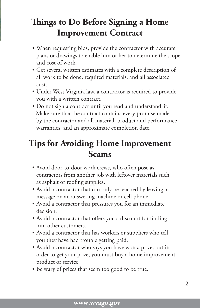### **Things to Do Before Signing a Home Improvement Contract**

- When requesting bids, provide the contractor with accurate plans or drawings to enable him or her to determine the scope and cost of work.
- Get several written estimates with a complete description of all work to be done, required materials, and all associated costs.
- Under West Virginia law, a contractor is required to provide you with a written contract.
- Do not sign a contract until you read and understand it. Make sure that the contract contains every promise made by the contractor and all material, product and performance warranties, and an approximate completion date.

#### **Tips for Avoiding Home Improvement Scams**

- Avoid door-to-door work crews, who often pose as contractors from another job with leftover materials such as asphalt or roofing supplies.
- Avoid a contractor that can only be reached by leaving a message on an answering machine or cell phone.
- Avoid a contractor that pressures you for an immediate decision.
- Avoid a contractor that offers you a discount for finding him other customers.
- Avoid a contractor that has workers or suppliers who tell you they have had trouble getting paid.
- Avoid a contractor who says you have won a prize, but in order to get your prize, you must buy a home improvement product or service.
- Be wary of prices that seem too good to be true.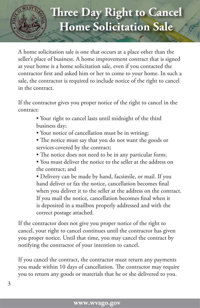

A home solicitation sale is one that occurs at a place other than the seller's place of business. A home improvement contract that is signed at your home is a home solicitation sale, even if you contacted the contractor first and asked him or her to come to your home. In such a sale, the contractor is required to include notice of the right to cancel in the contract.

If the contractor gives you proper notice of the right to cancel in the contract:

- Your right to cancel lasts until midnight of the third business day;
- Your notice of cancellation must be in writing;
- The notice must say that you do not want the goods or services covered by the contract;
- The notice does not need to be in any particular form;
- You must deliver the notice to the seller at the address on the contract; and

• Delivery can be made by hand, facsimile, or mail. If you hand deliver or fax the notice, cancellation becomes final when you deliver it to the seller at the address on the contract. If you mail the notice, cancellation becomes final when it is deposited in a mailbox properly addressed and with the correct postage attached.

If the contractor does not give you proper notice of the right to cancel, your right to cancel continues until the contractor has given you proper notice. Until that time, you may cancel the contract by notifying the contractor of your intention to cancel.

If you cancel the contract, the contractor must return any payments you made within 10 days of cancellation. The contractor may require you to return any goods or materials that he or she delivered to you.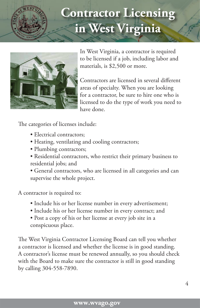

## **Contractor Licensing in West Virginia**



In West Virginia, a contractor is required to be licensed if a job, including labor and materials, is \$2,500 or more.

Contractors are licensed in several different areas of specialty. When you are looking for a contractor, be sure to hire one who is licensed to do the type of work you need to have done.

The categories of licenses include:

- Electrical contractors;
- Heating, ventilating and cooling contractors;
- Plumbing contractors;
- Residential contractors, who restrict their primary business to residential jobs; and
- General contractors, who are licensed in all categories and can supervise the whole project.

A contractor is required to:

- Include his or her license number in every advertisement;
- Include his or her license number in every contract; and
- Post a copy of his or her license at every job site in a conspicuous place.

The West Virginia Contractor Licensing Board can tell you whether a contractor is licensed and whether the license is in good standing. A contractor's license must be renewed annually, so you should check with the Board to make sure the contractor is still in good standing by calling 304-558-7890.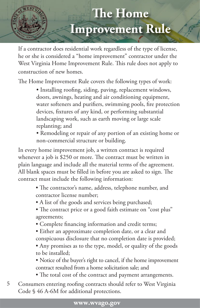

If a contractor does residential work regardless of the type of license, he or she is considered a "home improvement" contractor under the West Virginia Home Improvement Rule. This rule does not apply to construction of new homes.

The Home Improvement Rule covers the following types of work:

• Installing roofing, siding, paving, replacement windows, doors, awnings, heating and air conditioning equipment, water softeners and purifiers, swimming pools, fire protection devices, fixtures of any kind, or performing substantial landscaping work, such as earth moving or large scale replanting; and

• Remodeling or repair of any portion of an existing home or non-commercial structure or building.

In every home improvement job, a written contract is required whenever a job is \$250 or more. The contract must be written in plain language and include all the material terms of the agreement. All blank spaces must be filled in before you are asked to sign. The contract must include the following information:

- The contractor's name, address, telephone number, and contractor license number;
- A list of the goods and services being purchased;
- The contract price or a good faith estimate on "cost plus" agreements;
- Complete financing information and credit terms;
- Either an approximate completion date, or a clear and conspicuous disclosure that no completion date is provided;
- Any promises as to the type, model, or quality of the goods to be installed;

• Notice of the buyer's right to cancel, if the home improvement contract resulted from a home solicitation sale; and

• The total cost of the contract and payment arrangements.

5 Consumers entering roofing contracts should refer to West Virginia Code § 46 A-6M for additional protections.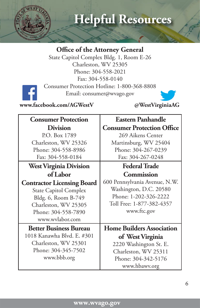

### **Helpful Resources**

#### **Office of the Attorney General**

State Capitol Complex Bldg. 1, Room E-26 Charleston, WV 25305 Phone: 304-558-2021 Fax: 304-558-0140 Consumer Protection Hotline: 1-800-368-8808



Email: consumer@wvago.gov



| <b>Consumer Protection</b>        | <b>Eastern Panhandle</b>          |
|-----------------------------------|-----------------------------------|
| <b>Division</b>                   | <b>Consumer Protection Office</b> |
| P.O. Box 1789                     | 269 Aikens Center                 |
| Charleston, WV 25326              | Martinsburg, WV 25404             |
| Phone: 304-558-8986               | Phone: 304-267-0239               |
| Fax: 304-558-0184                 | Fax: 304-267-0248                 |
| <b>West Virginia Division</b>     | <b>Federal Trade</b>              |
| of Labor                          | <b>Commission</b>                 |
| <b>Contractor Licensing Board</b> | 600 Pennsylvania Avenue, N.W.     |
| <b>State Capitol Complex</b>      | Washington, D.C. 20580            |
| Bldg. 6, Room B-749               | Phone: 1-202-326-2222             |
| Charleston, WV 25305              | Toll Free: 1-877-382-4357         |
| Phone: 304-558-7890               | www.ftc.gov                       |
| www.wvlabor.com                   |                                   |
| <b>Better Business Bureau</b>     | <b>Home Builders Association</b>  |
| 1018 Kanawha Blvd. E. #301        | of West Virginia                  |
| Charleston, WV 25301              | 2220 Washington St. E.            |
| Phone: 304-345-7502               | Charleston, WV 25311              |
| www.bbb.org                       | Phone: 304-342-5176               |
|                                   | www.hbawv.org                     |